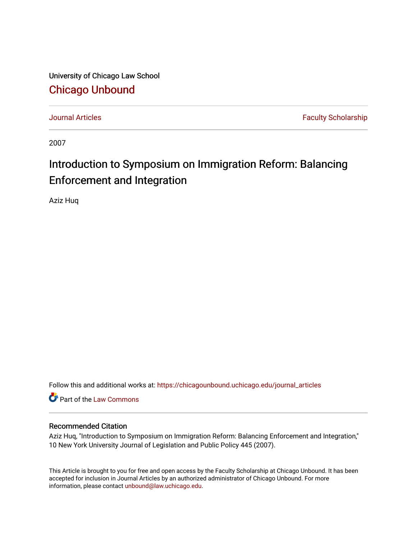University of Chicago Law School [Chicago Unbound](https://chicagounbound.uchicago.edu/)

[Journal Articles](https://chicagounbound.uchicago.edu/journal_articles) **Faculty Scholarship Journal Articles** 

2007

## Introduction to Symposium on Immigration Reform: Balancing Enforcement and Integration

Aziz Huq

Follow this and additional works at: [https://chicagounbound.uchicago.edu/journal\\_articles](https://chicagounbound.uchicago.edu/journal_articles?utm_source=chicagounbound.uchicago.edu%2Fjournal_articles%2F3949&utm_medium=PDF&utm_campaign=PDFCoverPages) 

Part of the [Law Commons](http://network.bepress.com/hgg/discipline/578?utm_source=chicagounbound.uchicago.edu%2Fjournal_articles%2F3949&utm_medium=PDF&utm_campaign=PDFCoverPages)

## Recommended Citation

Aziz Huq, "Introduction to Symposium on Immigration Reform: Balancing Enforcement and Integration," 10 New York University Journal of Legislation and Public Policy 445 (2007).

This Article is brought to you for free and open access by the Faculty Scholarship at Chicago Unbound. It has been accepted for inclusion in Journal Articles by an authorized administrator of Chicago Unbound. For more information, please contact [unbound@law.uchicago.edu](mailto:unbound@law.uchicago.edu).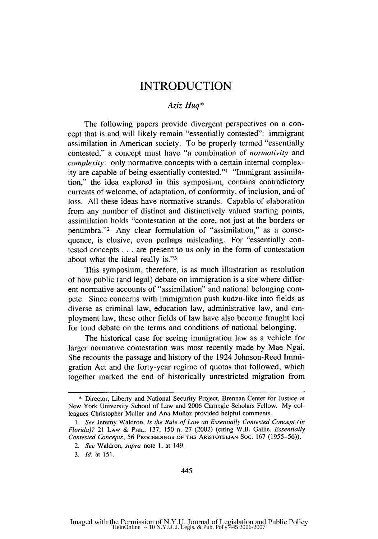## **INTRODUCTION**

## *Aziz Huq\**

The following papers provide divergent perspectives on a concept that is and will likely remain "essentially contested": immigrant assimilation in American society. To be properly termed "essentially contested," a concept must have "a combination of *normativity* and *complexity:* only normative concepts with a certain internal complexity are capable of being essentially contested."' "Immigrant assimilation," the idea explored in this symposium, contains contradictory currents of welcome, of adaptation, of conformity, of inclusion, and of loss. All these ideas have normative strands. Capable of elaboration from any number of distinct and distinctively valued starting points, assimilation holds "contestation at the core, not just at the borders or penumbra."<sup>2</sup> Any clear formulation of "assimilation," as a consequence, is elusive, even perhaps misleading. For "essentially contested concepts **..** are present to us only in the form of contestation about what the ideal really is."<sup>3</sup>

This symposium, therefore, is as much illustration as resolution of how public (and legal) debate on immigration is a site where different normative accounts of "assimilation" and national belonging compete. Since concerns with immigration push kudzu-like into fields as diverse as criminal law, education law, administrative law, and employment law, these other fields of law have also become fraught loci for loud debate on the terms and conditions of national belonging.

The historical case for seeing immigration law as a vehicle for larger normative contestation was most recently made by Mae Ngai. She recounts the passage and history of the 1924 Johnson-Reed Immigration Act and the forty-year regime of quotas that followed, which together marked the end of historically unrestricted migration from

<sup>\*</sup> Director, Liberty and National Security Project, Brennan Center for Justice at New York University School of Law and 2006 Carnegie Scholars Fellow. My colleagues Christopher Muller and Ana Mufioz provided helpful comments.

*<sup>1.</sup> See* Jeremy Waldron, *Is the Rule of Law an Essentially Contested Concept (in Florida)?* 21 LAW & PHIL. 137, 150 n. 27 (2002) (citing W.B. Gallie, *Essentially Contested Concepts,* 56 **PROCEEDINGS** OF THE **ARISTOTELIAN** SOC. 167 (1955-56)).

*<sup>2.</sup> See* Waldron, *supra* note **1,** at 149.

*<sup>3.</sup> Id.* at 151.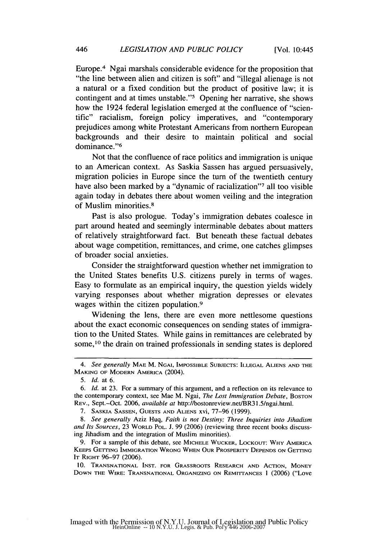Europe.<sup>4</sup> Ngai marshals considerable evidence for the proposition that "the line between alien and citizen is soft" and "illegal alienage is not a natural or a fixed condition but the product of positive law; it is contingent and at times unstable."'5 Opening her narrative, she shows how the 1924 federal legislation emerged at the confluence of "scientific" racialism, foreign policy imperatives, and "contemporary prejudices among white Protestant Americans from northern European backgrounds and their desire to maintain political and social dominance."<sup>6</sup>

Not that the confluence of race politics and immigration is unique to an American context. As Saskia Sassen has argued persuasively, migration policies in Europe since the turn of the twentieth century have also been marked by a "dynamic of racialization"? all too visible again today in debates there about women veiling and the integration of Muslim minorities. <sup>8</sup>

Past is also prologue. Today's immigration debates coalesce in part around heated and seemingly interminable debates about matters of relatively straightforward fact. But beneath these factual debates about wage competition, remittances, and crime, one catches glimpses of broader social anxieties.

Consider the straightforward question whether net immigration to the United States benefits U.S. citizens purely in terms of wages. Easy to formulate as an empirical inquiry, the question yields widely varying responses about whether migration depresses or elevates wages within the citizen population.<sup>9</sup>

Widening the lens, there are even more nettlesome questions about the exact economic consequences on sending states of immigration to the United States. While gains in remittances are celebrated by some,10 the drain on trained professionals in sending states is deplored

<sup>4.</sup> *See generally* MAE M. NGAI, IMPOSSIBLE **SUBJECTS: ILLEGAL ALIENS AND** THE **MAKING** OF MODERN AMERICA (2004).

*<sup>5.</sup> Id.* at 6.

*<sup>6.</sup> Id.* at 23. For a summary of this argument, and a reflection on its relevance to the contemporary context, see Mae M. Ngai, *The Lost Immigration Debate*, Boston REV., Sept.-Oct. 2006, *available at* http://bostonreview.net/BR31.5/ngai.html.

<sup>7.</sup> **SASKIA SASSEN, GUESTS AND ALIENS** xvi, 77-96 (1999).

*<sup>8.</sup> See generally* Aziz Huq, *Faith is not Destiny; Three Inquiries into Jihadism* and Its Sources, 23 WORLD POL. J. 99 (2006) (reviewing three recent books discussing Jihadism and the integration of Muslim minorities).

<sup>9.</sup> For a sample of this debate, see **MICHELE** WUCKER, **LOCKOUT:** WHY AMERICA KEEPS GETTING IMMIGRATION WRONG **WHEN** OUR PROSPERITY **DEPENDS ON** GETTING IT **RIGHT** 96-97 (2006).

<sup>10.</sup> **TRANSNATIONAL INST.** FOR GRASSROOTS RESEARCH **AND** ACTION, MONEY DOWN THE WIRE: TRANSNATIONAL **ORGANIZING ON** REMITrANCES **1** (2006) ("Love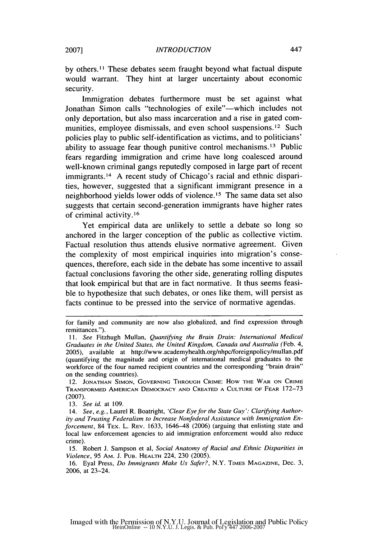by others.II These debates seem fraught beyond what factual dispute would warrant. They hint at larger uncertainty about economic security.

Immigration debates furthermore must be set against what Jonathan Simon calls "technologies of exile"—which includes not only deportation, but also mass incarceration and a rise in gated communities, employee dismissals, and even school suspensions.12 Such policies play to public self-identification as victims, and to politicians' ability to assuage fear though punitive control mechanisms. 13 Public fears regarding immigration and crime have long coalesced around well-known criminal gangs reputedly composed in large part of recent immigrants. 14 A recent study of Chicago's racial and ethnic disparities, however, suggested that a significant immigrant presence in a neighborhood yields lower odds of violence. 15 The same data set also suggests that certain second-generation immigrants have higher rates of criminal activity.16

Yet empirical data are unlikely to settle a debate so long so anchored in the larger conception of the public as collective victim. Factual resolution thus attends elusive normative agreement. Given the complexity of most empirical inquiries into migration's consequences, therefore, each side in the debate has some incentive to assail factual conclusions favoring the other side, generating rolling disputes that look empirical but that are in fact normative. It thus seems feasible to hypothesize that such debates, or ones like them, will persist as facts continue to be pressed into the service of normative agendas.

13. *See id.* at 109.

14. *See, e.g.,* Laurel R. Boatright, *'Clear Eye for the State Guy': Clarifying Authority and Trusting Federalism to Increase Nonfederal Assistance with Immigration Enforcement, 84 TEX. L. REV. 1633, 1646-48 (2006)* (arguing that enlisting state and local law enforcement agencies to aid immigration enforcement would also reduce **crime).**

15. Robert J. Sampson et al, *Social Anatomy of Racial and Ethnic Disparities in Violence,* 95 AM. J. PuB. HEALTH 224, 230 (2005).

16. Eyal Press, *Do Immigrants Make Us Safer?,* N.Y. TIMES MAGAZINE, Dec. 3, 2006, at 23-24.

for family and community are now also globalized, and find expression through remittances.").

*<sup>11.</sup> See* Fitzhugh Mullan, *Quantifying the Brain Drain: International Medical* Graduates in the United States, the *United Kingdom, Canada and Australia* (Feb. 4, 2005), available at http://www.academyhealth.org/nhpc/foreignpolicy/mullan.pdf (quantifying the magnitude and origin of international medical graduates to the workforce of the four named recipient countries and the corresponding "brain drain" on the sending countries).

<sup>12.</sup> **JONATHAN SIMON, GOVERNING** THROUGH CRIME: How **THE** WAR **ON** CRIME TRANSFORMED **AMERICAN** DEMOCRACY **AND** CREATED **A CULTURE** OF FEAR 172-73 (2007).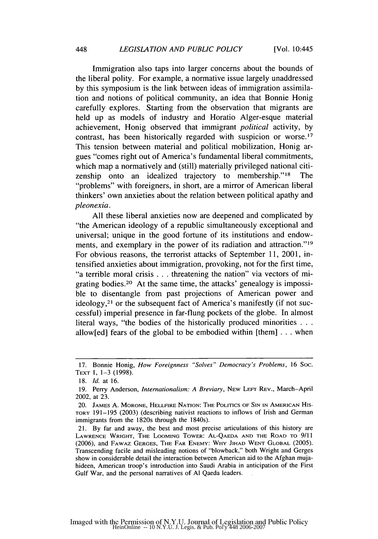Immigration also taps into larger concerns about the bounds of the liberal polity. For example, a normative issue largely unaddressed by this symposium is the link between ideas of immigration assimilation and notions of political community, an idea that Bonnie Honig carefully explores. Starting from the observation that migrants are held up as models of industry and Horatio Alger-esque material achievement, Honig observed that immigrant *political* activity, by contrast, has been historically regarded with suspicion or worse.<sup>17</sup> This tension between material and political mobilization, Honig argues "comes right out of America's fundamental liberal commitments, which map a normatively and (still) materially privileged national citizenship onto an idealized trajectory to membership."<sup>18</sup> The "problems" with foreigners, in short, are a mirror of American liberal thinkers' own anxieties about the relation between political apathy and *pleonexia.*

All these liberal anxieties now are deepened and complicated by "the American ideology of a republic simultaneously exceptional and universal; unique in the good fortune of its institutions and endowments, and exemplary in the power of its radiation and attraction."<sup>19</sup> For obvious reasons, the terrorist attacks of September 11, 2001, intensified anxieties about immigration, provoking, not for the first time, "a terrible moral crisis **..** threatening the nation" via vectors of migrating bodies.20 At the same time, the attacks' genealogy is impossible to disentangle from past projections of American power and ideology, 21 or the subsequent fact of America's manifestly (if not successful) imperial presence in far-flung pockets of the globe. In almost literal ways, "the bodies of the historically produced minorities **. . .** allow[ed] fears of the global to be embodied within  $[them] \dots$  when

<sup>17.</sup> Bonnie Honig, *How Foreignness "Solves" Democracy's Problems,* 16 Soc. TEXT 1, **1-3** (1998).

<sup>18.</sup> *Id. at* 16.

<sup>19.</sup> Perry Anderson, *Internationalism: A Breviary,* NEW LEFT REV., March-April 2002, at 23.

<sup>20.</sup> JAMES A. MORONE, **HELLFIRE NATION:** THE **POLITICS** OF **SIN IN AMERICAN** His-TORY 191-195 (2003) (describing nativist reactions to inflows of Irish and German immigrants from the 1820s through the 1840s).

<sup>21.</sup> By far and away, the best and most precise articulations of this history are LAWRENCE WRIGHT, THE LOOMING TOWER: **AL-QAEDA AND** THE ROAD TO 9/11 (2006), and FAWAZ **GERGES,** THE FAR **ENEMY:** WHY **JIHAD** WENT GLOBAL (2005). Transcending facile and misleading notions of "blowback," both Wright and Gerges show in considerable detail the interaction between American aid to the Afghan mujahideen, American troop's introduction into Saudi Arabia in anticipation of the First Gulf War, and the personal narratives of **Al** Qaeda leaders.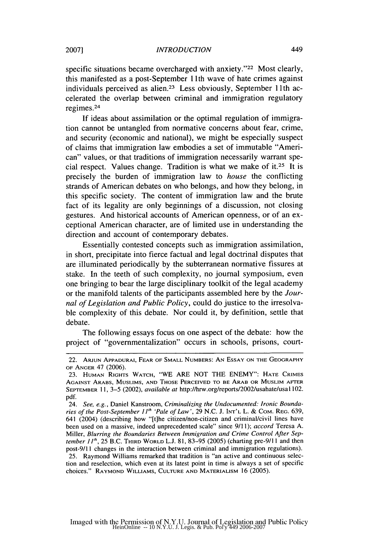specific situations became overcharged with anxiety."<sup>22</sup> Most clearly, this manifested as a post-September 11 th wave of hate crimes against individuals perceived as alien.<sup>23</sup> Less obviously, September 11th accelerated the overlap between criminal and immigration regulatory regimes. <sup>24</sup>

If ideas about assimilation or the optimal regulation of immigration cannot be untangled from normative concerns about fear, crime, and security (economic and national), we might be especially suspect of claims that immigration law embodies a set of immutable "American" values, or that traditions of immigration necessarily warrant special respect. Values change. Tradition is what we make of it.<sup>25</sup> It is precisely the burden of immigration law to *house* the conflicting strands of American debates on who belongs, and how they belong, in this specific society. The content of immigration law and the brute fact of its legality are only beginnings of a discussion, not closing gestures. And historical accounts of American openness, or of an exceptional American character, are of limited use in understanding the direction and account of contemporary debates.

Essentially contested concepts such as immigration assimilation, in short, precipitate into fierce factual and legal doctrinal disputes that are illuminated periodically by the subterranean normative fissures at stake. In the teeth of such complexity, no journal symposium, even one bringing to bear the large disciplinary toolkit of the legal academy or the manifold talents of the participants assembled here by the *Journal of Legislation and Public Policy,* could do justice to the irresolvable complexity of this debate. Nor could it, by definition, settle that debate.

The following essays focus on one aspect of the debate: how the project of "governmentalization" occurs in schools, prisons, court-

<sup>22.</sup> **ARIUN APPADURAI,** FEAR OF **SMALL NUMBERS: AN** ESSAY **ON** THE GEOGRAPHY OF **ANGER** 47 (2006).

<sup>23.</sup> **HUMAN** RIGHTS WATCH, "WE ARE NOT THE ENEMY": **HATE** CRIMES **AGAINST** ARABS, **MUSLIMS, AND THOSE** PERCEIVED TO BE ARAB OR **MUSLIM** AFTER SEPTEMBER **11,** 3-5 (2002), *available* at http://hrw.org/reports/2002/usahate/usal 102. pdf.

<sup>24.</sup> *See, e.g.,* Daniel Kanstroom, *Criminalizing the Undocumented: Ironic Boundaries of the Post-September 11h 'Pale of Law',* 29 N.C. J. **INT'L** L. & COM. REG. 639, 641 (2004) (describing how "[tihe citizen/non-citizen and criminal/civil lines have been used on a massive, indeed unprecedented scale" since 9/11); *accord* Teresa A. Miller, *Blurring the Boundaries Between Immigration and Crime Control After September* **I1h,** 25 B.C. THIRD WORLD L.J. 81, 83-95 (2005) (charting pre-9/l **I** and then post-9/l 1 changes in the interaction between criminal and immigration regulations). 25. Raymond Williams remarked that tradition is "an active and continuous selection and reselection, which even at its latest point in time is always a set of specific choices." RAYMOND WILLIAMS, **CULTURE AND** MATERIALISM 16 (2005).